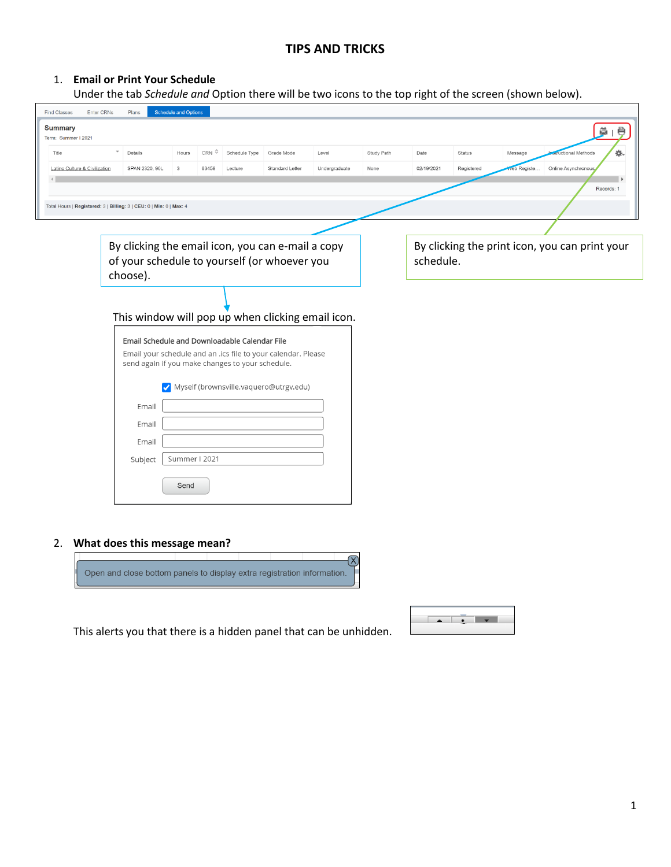# **TIPS AND TRICKS**

# 1. **Email or Print Your Schedule**

Under the tab *Schedule and* Option there will be two icons to the top right of the screen (shown below).

| <b>Find Classes</b><br><b>Enter CRNs</b>         | Plans                                                                                                         | <b>Schedule and Options</b>                                                                                    |               |            |                                                             |                     |      |            |         |                        |  |
|--------------------------------------------------|---------------------------------------------------------------------------------------------------------------|----------------------------------------------------------------------------------------------------------------|---------------|------------|-------------------------------------------------------------|---------------------|------|------------|---------|------------------------|--|
| <b>Summary</b><br>ø1<br>ę<br>Term: Summer I 2021 |                                                                                                               |                                                                                                                |               |            |                                                             |                     |      |            |         |                        |  |
| Title                                            | $\overline{\phantom{a}}$<br>Details                                                                           | CRN <sup>2</sup><br>Hours                                                                                      | Schedule Type | Grade Mode | Level                                                       | Study Path          | Date | Status     | Message | ά.<br>uctional Methods |  |
| Latino Culture & Civilization                    | SPAN 2320, 90L                                                                                                | 3<br>63458                                                                                                     | 02/19/2021    | Registered | reb Registe.                                                | Online Asynchronous |      |            |         |                        |  |
|                                                  |                                                                                                               |                                                                                                                |               |            |                                                             |                     |      | Records: 1 |         |                        |  |
|                                                  | Total Hours   Registered: 3   Billing: 3   CEU: 0   Min: 0   Max: 4                                           |                                                                                                                |               |            |                                                             |                     |      |            |         |                        |  |
|                                                  |                                                                                                               |                                                                                                                |               |            |                                                             |                     |      |            |         |                        |  |
|                                                  | By clicking the email icon, you can e-mail a copy<br>of your schedule to yourself (or whoever you<br>choose). |                                                                                                                |               |            | By clicking the print icon, you can print your<br>schedule. |                     |      |            |         |                        |  |
|                                                  | This window will pop up when clicking email icon.                                                             | Email Schedule and Downloadable Calendar File<br>Email your schedule and an .ics file to your calendar. Please |               |            |                                                             |                     |      |            |         |                        |  |
|                                                  | Email                                                                                                         | send again if you make changes to your schedule.<br>Myself (brownsville.vaquero@utrgv.edu)                     |               |            |                                                             |                     |      |            |         |                        |  |
|                                                  | Email                                                                                                         |                                                                                                                |               |            |                                                             |                     |      |            |         |                        |  |
|                                                  | Email                                                                                                         |                                                                                                                |               |            |                                                             |                     |      |            |         |                        |  |
|                                                  | Subject                                                                                                       | Summer I 2021                                                                                                  |               |            |                                                             |                     |      |            |         |                        |  |
|                                                  |                                                                                                               | Send                                                                                                           |               |            |                                                             |                     |      |            |         |                        |  |
|                                                  |                                                                                                               |                                                                                                                |               |            |                                                             |                     |      |            |         |                        |  |

## 2. **What does this message mean?**



This alerts you that there is a hidden panel that can be unhidden.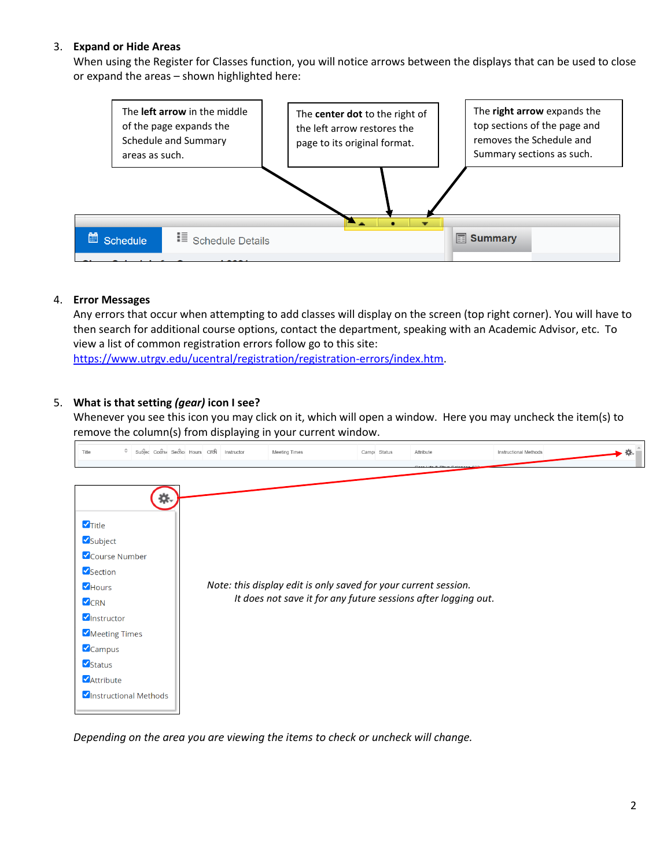## 3. **Expand or Hide Areas**

When using the Register for Classes function, you will notice arrows between the displays that can be used to close or expand the areas – shown highlighted here:



#### 4. **Error Messages**

Any errors that occur when attempting to add classes will display on the screen (top right corner). You will have to then search for additional course options, contact the department, speaking with an Academic Advisor, etc. To view a list of common registration errors follow go to this site: [https://www.utrgv.edu/ucentral/registration/registration-errors/index.htm.](https://www.utrgv.edu/ucentral/registration/registration-errors/index.htm)

### 5. **What is that setting** *(gear)* **icon I see?**

Whenever you see this icon you may click on it, which will open a window. Here you may uncheck the item(s) to remove the column(s) from displaying in your current window.



*Depending on the area you are viewing the items to check or uncheck will change.*